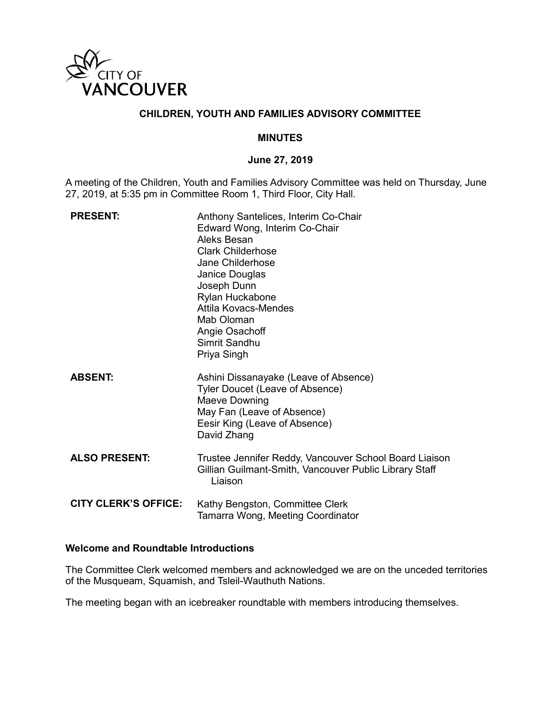

## **CHILDREN, YOUTH AND FAMILIES ADVISORY COMMITTEE**

#### **MINUTES**

### **June 27, 2019**

A meeting of the Children, Youth and Families Advisory Committee was held on Thursday, June 27, 2019, at 5:35 pm in Committee Room 1, Third Floor, City Hall.

| <b>PRESENT:</b>             | Anthony Santelices, Interim Co-Chair<br>Edward Wong, Interim Co-Chair<br>Aleks Besan<br><b>Clark Childerhose</b><br>Jane Childerhose<br>Janice Douglas<br>Joseph Dunn<br>Rylan Huckabone<br>Attila Kovacs-Mendes<br>Mab Oloman<br>Angie Osachoff<br>Simrit Sandhu<br>Priya Singh |
|-----------------------------|----------------------------------------------------------------------------------------------------------------------------------------------------------------------------------------------------------------------------------------------------------------------------------|
| <b>ABSENT:</b>              | Ashini Dissanayake (Leave of Absence)<br>Tyler Doucet (Leave of Absence)<br>Maeve Downing<br>May Fan (Leave of Absence)<br>Eesir King (Leave of Absence)<br>David Zhang                                                                                                          |
| <b>ALSO PRESENT:</b>        | Trustee Jennifer Reddy, Vancouver School Board Liaison<br>Gillian Guilmant-Smith, Vancouver Public Library Staff<br>Liaison                                                                                                                                                      |
| <b>CITY CLERK'S OFFICE:</b> | Kathy Bengston, Committee Clerk<br>Tamarra Wong, Meeting Coordinator                                                                                                                                                                                                             |

# **Welcome and Roundtable Introductions**

The Committee Clerk welcomed members and acknowledged we are on the unceded territories of the Musqueam, Squamish, and Tsleil-Wauthuth Nations.

The meeting began with an icebreaker roundtable with members introducing themselves.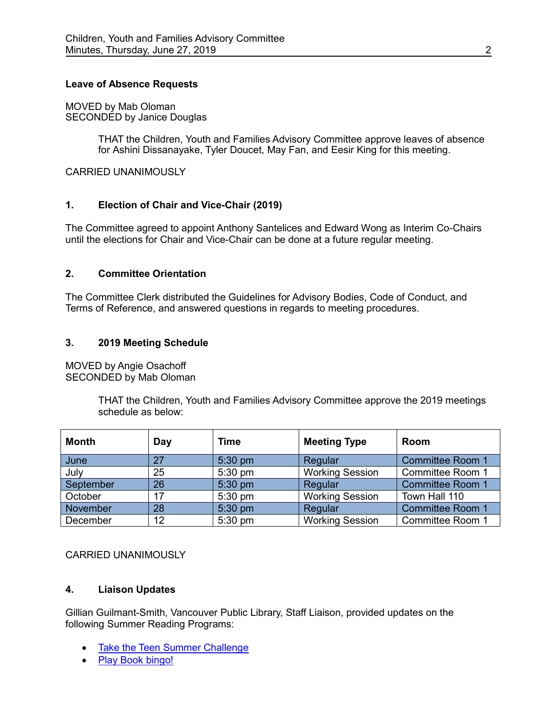### **Leave of Absence Requests**

MOVED by Mab Oloman SECONDED by Janice Douglas

> THAT the Children, Youth and Families Advisory Committee approve leaves of absence for Ashini Dissanayake, Tyler Doucet, May Fan, and Eesir King for this meeting.

CARRIED UNANIMOUSLY

## **1. Election of Chair and Vice-Chair (2019)**

The Committee agreed to appoint Anthony Santelices and Edward Wong as Interim Co-Chairs until the elections for Chair and Vice-Chair can be done at a future regular meeting.

### **2. Committee Orientation**

The Committee Clerk distributed the Guidelines for Advisory Bodies, Code of Conduct, and Terms of Reference, and answered questions in regards to meeting procedures.

### **3. 2019 Meeting Schedule**

MOVED by Angie Osachoff SECONDED by Mab Oloman

> THAT the Children, Youth and Families Advisory Committee approve the 2019 meetings schedule as below:

| <b>Month</b> | Day | Time      | <b>Meeting Type</b>    | Room                    |
|--------------|-----|-----------|------------------------|-------------------------|
| June         | 27  | 5:30 pm   | Regular                | <b>Committee Room 1</b> |
| July         | 25  | $5:30$ pm | <b>Working Session</b> | <b>Committee Room 1</b> |
| September    | 26  | 5:30 pm   | Regular                | <b>Committee Room 1</b> |
| October      | 17  | 5:30 pm   | <b>Working Session</b> | Town Hall 110           |
| November     | 28  | 5:30 pm   | Regular                | <b>Committee Room 1</b> |
| December     | 12  | 5:30 pm   | <b>Working Session</b> | Committee Room 1        |

### CARRIED UNANIMOUSLY

### **4. Liaison Updates**

Gillian Guilmant-Smith, Vancouver Public Library, Staff Liaison, provided updates on the following Summer Reading Programs:

- [Take the Teen Summer Challenge](http://www.vpl.ca/teensummer)
- [Play Book bingo!](https://www.vpl.ca/bookbingo)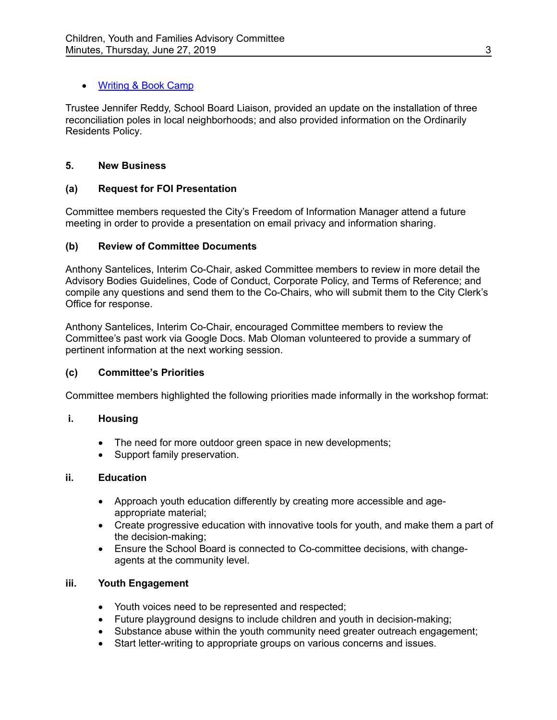# [Writing & Book Camp](https://www.vpl.ca/bookcamp)

Trustee Jennifer Reddy, School Board Liaison, provided an update on the installation of three reconciliation poles in local neighborhoods; and also provided information on the Ordinarily Residents Policy.

# **5. New Business**

# **(a) Request for FOI Presentation**

Committee members requested the City's Freedom of Information Manager attend a future meeting in order to provide a presentation on email privacy and information sharing.

# **(b) Review of Committee Documents**

Anthony Santelices, Interim Co-Chair, asked Committee members to review in more detail the Advisory Bodies Guidelines, Code of Conduct, Corporate Policy, and Terms of Reference; and compile any questions and send them to the Co-Chairs, who will submit them to the City Clerk's Office for response.

Anthony Santelices, Interim Co-Chair, encouraged Committee members to review the Committee's past work via Google Docs. Mab Oloman volunteered to provide a summary of pertinent information at the next working session.

# **(c) Committee's Priorities**

Committee members highlighted the following priorities made informally in the workshop format:

# **i. Housing**

- The need for more outdoor green space in new developments;
- Support family preservation.

# **ii. Education**

- Approach youth education differently by creating more accessible and ageappropriate material;
- Create progressive education with innovative tools for youth, and make them a part of the decision-making;
- Ensure the School Board is connected to Co-committee decisions, with changeagents at the community level.

# **iii. Youth Engagement**

- Youth voices need to be represented and respected;
- Future playground designs to include children and youth in decision-making;
- Substance abuse within the youth community need greater outreach engagement;
- Start letter-writing to appropriate groups on various concerns and issues.